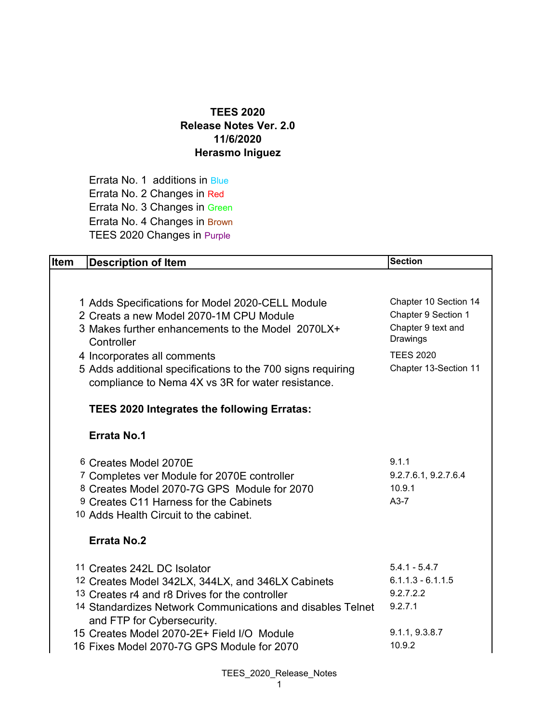## **TEES 2020 Release Notes Ver. 2.0 11/6/2020 Herasmo Iniguez**

Errata No. 1 additions in Blue Errata No. 2 Changes in Red Errata No. 3 Changes in Green Errata No. 4 Changes in Brown TEES 2020 Changes in Purple

| <b>Item</b> | <b>Description of Item</b>                                                                                                                                                                                                     | <b>Section</b>                                                                 |
|-------------|--------------------------------------------------------------------------------------------------------------------------------------------------------------------------------------------------------------------------------|--------------------------------------------------------------------------------|
|             |                                                                                                                                                                                                                                |                                                                                |
|             | 1 Adds Specifications for Model 2020-CELL Module<br>2 Creats a new Model 2070-1M CPU Module<br>3 Makes further enhancements to the Model 2070LX+<br>Controller                                                                 | Chapter 10 Section 14<br>Chapter 9 Section 1<br>Chapter 9 text and<br>Drawings |
|             | 4 Incorporates all comments<br>5 Adds additional specifications to the 700 signs requiring<br>compliance to Nema 4X vs 3R for water resistance.                                                                                | <b>TEES 2020</b><br>Chapter 13-Section 11                                      |
|             | <b>TEES 2020 Integrates the following Erratas:</b>                                                                                                                                                                             |                                                                                |
|             | <b>Errata No.1</b>                                                                                                                                                                                                             |                                                                                |
|             | 6 Creates Model 2070E<br><sup>7</sup> Completes ver Module for 2070E controller<br>8 Creates Model 2070-7G GPS Module for 2070<br>9 Creates C11 Harness for the Cabinets<br>10 Adds Health Circuit to the cabinet.             | 9.1.1<br>9.2.7.6.1, 9.2.7.6.4<br>10.9.1<br>$A3-7$                              |
|             | <b>Errata No.2</b>                                                                                                                                                                                                             |                                                                                |
|             | 11 Creates 242L DC Isolator<br>12 Creates Model 342LX, 344LX, and 346LX Cabinets<br>13 Creates r4 and r8 Drives for the controller<br>14 Standardizes Network Communications and disables Telnet<br>and FTP for Cybersecurity. | $5.4.1 - 5.4.7$<br>$6.1.1.3 - 6.1.1.5$<br>9.2.7.2.2<br>9.2.7.1                 |
|             | 15 Creates Model 2070-2E+ Field I/O Module<br>16 Fixes Model 2070-7G GPS Module for 2070                                                                                                                                       | 9.1.1, 9.3.8.7<br>10.9.2                                                       |